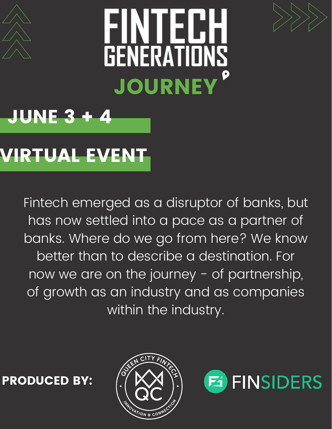

# **FINTEL'H**<br>GENERATIONS **JOURNEY**

## JUNE 3 + 4

## VIRTUAL EVENT

Fintech emerged as a disruptor of banks, but has now settled into a pace as a partner of banks. Where do we go from here? We know better than to describe a destination. For now we are on the journey - of partnership, of growth as an industry and as companies within the industry.

PRODUCED BY:



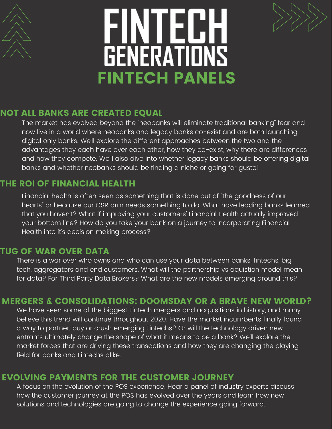



#### NOT ALL BANKS ARE CREATED EQUAL

The market has evolved beyond the "neobanks will eliminate traditional banking" fear and now live in a world where neobanks and legacy banks co-exist and are both launching digital only banks. We'll explore the different approaches between the two and the advantages they each have over each other, how they co-exist, why there are differences and how they compete. We'll also dive into whether legacy banks should be offering digital banks and whether neobanks should be finding a niche or going for gusto!

#### THE ROI OF FINANCIAL HEALTH

Financial health is often seen as something that is done out of "the goodness of our hearts" or because our CSR arm needs something to do. What have leading banks learned that you haven't? What if improving your customers' Financial Health actually improved your bottom line? How do you take your bank on a journey to incorporating Financial Health into it's decision making process?

#### TUG OF WAR OVER DATA

There is a war over who owns and who can use your data between banks, fintechs, big tech, aggregators and end customers. What will the partnership vs aquistion model mean for data? For Third Party Data Brokers? What are the new models emerging around this?

#### MERGERS & CONSOLIDATIONS: DOOMSDAY OR A BRAVE NEW WORLD?

We have seen some of the biggest Fintech mergers and acquisitions in history, and many believe this trend will continue throughout 2020. Have the market incumbents finally found a way to partner, buy or crush emerging Fintechs? Or will the technology driven new entrants ultimately change the shape of what it means to be a bank? We'll explore the market forces that are driving these transactions and how they are changing the playing field for banks and Fintechs alike.

#### EVOLVING PAYMENTS FOR THE CUSTOMER JOURNEY

A focus on the evolution of the POS experience. Hear a panel of industry experts discuss how the customer journey at the POS has evolved over the years and learn how new solutions and technologies are going to change the experience going forward.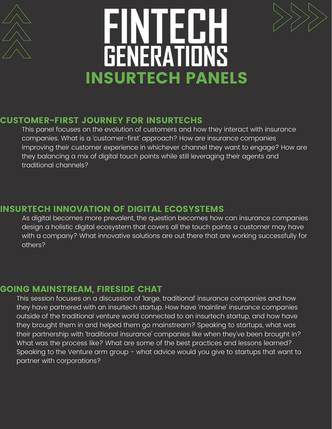

# **HIN LELIH<br>GENERATIONS** INSURTECH PANELS



#### CUSTOMER-FIRST JOURNEY FOR INSURTECHS

This panel focuses on the evolution of customers and how they interact with insurance companies. What is a 'customer-first' approach? How are insurance companies improving their customer experience in whichever channel they want to engage? How are they balancing a mix of digital touch points while still leveraging their agents and traditional channels?

#### INSURTECH INNOVATION OF DIGITAL ECOSYSTEMS

As digital becomes more prevalent, the question becomes how can insurance companies design a holistic digital ecosystem that covers all the touch points a customer may have with a company? What innovative solutions are out there that are working successfully for others?

#### GOING MAINSTREAM, FIRESIDE CHAT

This session focuses on a discussion of 'large, traditional' insurance companies and how they have partnered with an insurtech startup. How have 'mainline' insurance companies outside of the traditional venture world connected to an insurtech startup, and how have they brought them in and helped them go mainstream? Speaking to startups, what was their partnership with 'traditional insurance' companies like when they've been brought in? What was the process like? What are some of the best practices and lessons learned? Speaking to the Venture arm group - what advice would you give to startups that want to partner with corporations?